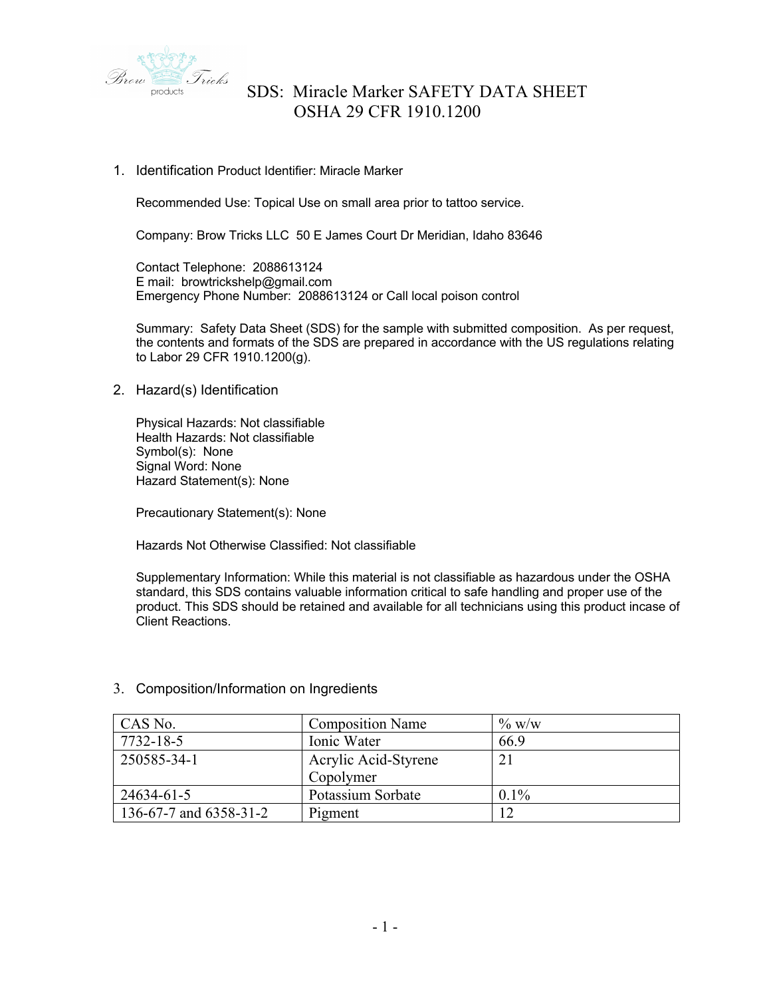

1. Identification Product Identifier: Miracle Marker

Recommended Use: Topical Use on small area prior to tattoo service.

Company: Brow Tricks LLC 50 E James Court Dr Meridian, Idaho 83646

Contact Telephone: 2088613124 E mail: browtrickshelp@gmail.com Emergency Phone Number: 2088613124 or Call local poison control

Summary: Safety Data Sheet (SDS) for the sample with submitted composition. As per request, the contents and formats of the SDS are prepared in accordance with the US regulations relating to Labor 29 CFR 1910.1200(g).

2. Hazard(s) Identification

Physical Hazards: Not classifiable Health Hazards: Not classifiable Symbol(s): None Signal Word: None Hazard Statement(s): None

Precautionary Statement(s): None

Hazards Not Otherwise Classified: Not classifiable

Supplementary Information: While this material is not classifiable as hazardous under the OSHA standard, this SDS contains valuable information critical to safe handling and proper use of the product. This SDS should be retained and available for all technicians using this product incase of Client Reactions.

| CAS No.                | <b>Composition Name</b> | $\%$ w/w |
|------------------------|-------------------------|----------|
| 7732-18-5              | Ionic Water             | 66.9     |
| 250585-34-1            | Acrylic Acid-Styrene    | 21       |
|                        | Copolymer               |          |
| 24634-61-5             | Potassium Sorbate       | $0.1\%$  |
| 136-67-7 and 6358-31-2 | Pigment                 | 12       |

### 3. Composition/Information on Ingredients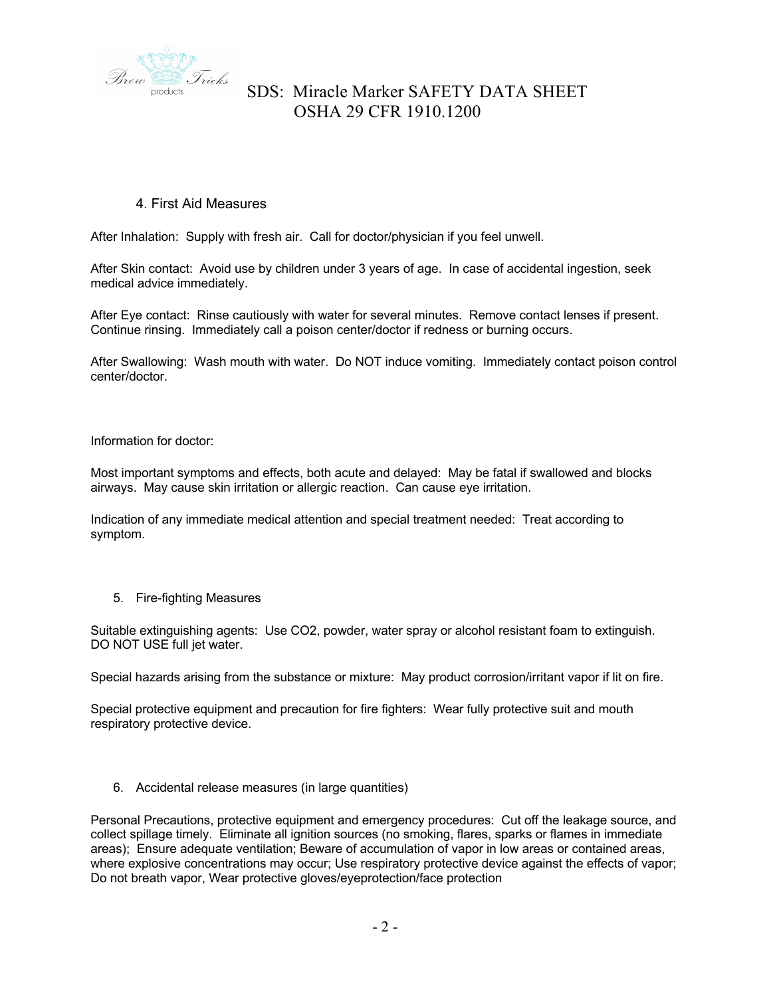

### 4. First Aid Measures

After Inhalation: Supply with fresh air. Call for doctor/physician if you feel unwell.

After Skin contact: Avoid use by children under 3 years of age. In case of accidental ingestion, seek medical advice immediately.

After Eye contact: Rinse cautiously with water for several minutes. Remove contact lenses if present. Continue rinsing. Immediately call a poison center/doctor if redness or burning occurs.

After Swallowing: Wash mouth with water. Do NOT induce vomiting. Immediately contact poison control center/doctor.

Information for doctor:

Most important symptoms and effects, both acute and delayed: May be fatal if swallowed and blocks airways. May cause skin irritation or allergic reaction. Can cause eye irritation.

Indication of any immediate medical attention and special treatment needed: Treat according to symptom.

#### 5. Fire-fighting Measures

Suitable extinguishing agents: Use CO2, powder, water spray or alcohol resistant foam to extinguish. DO NOT USE full jet water.

Special hazards arising from the substance or mixture: May product corrosion/irritant vapor if lit on fire.

Special protective equipment and precaution for fire fighters: Wear fully protective suit and mouth respiratory protective device.

6. Accidental release measures (in large quantities)

Personal Precautions, protective equipment and emergency procedures: Cut off the leakage source, and collect spillage timely. Eliminate all ignition sources (no smoking, flares, sparks or flames in immediate areas); Ensure adequate ventilation; Beware of accumulation of vapor in low areas or contained areas, where explosive concentrations may occur; Use respiratory protective device against the effects of vapor; Do not breath vapor, Wear protective gloves/eyeprotection/face protection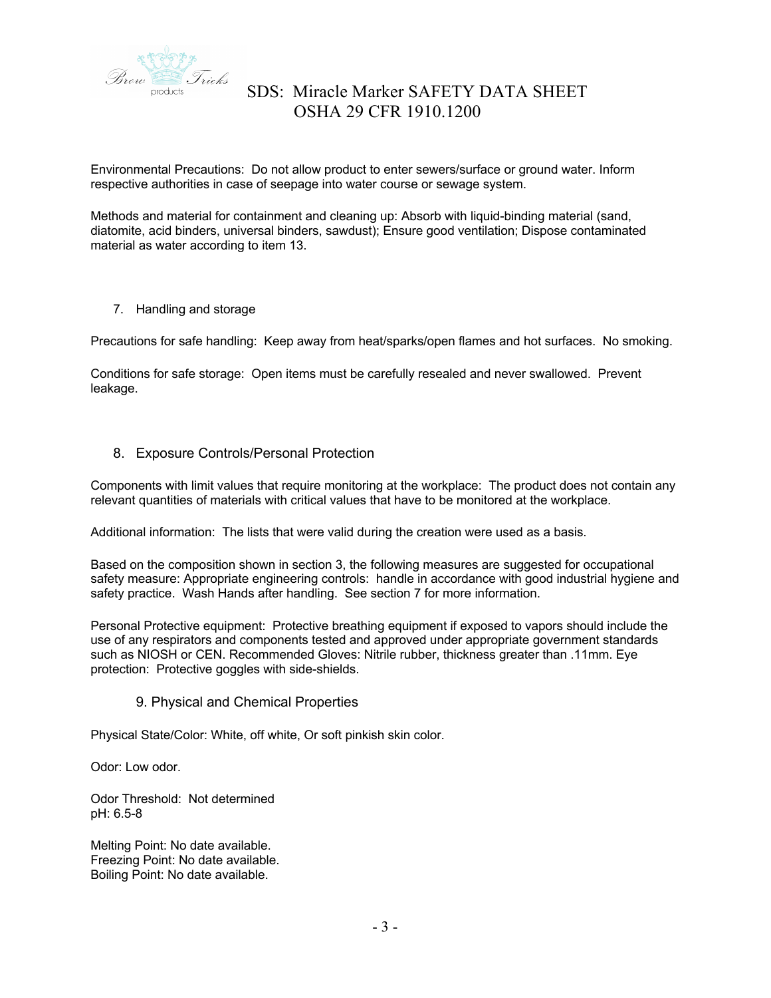

Environmental Precautions: Do not allow product to enter sewers/surface or ground water. Inform respective authorities in case of seepage into water course or sewage system.

Methods and material for containment and cleaning up: Absorb with liquid-binding material (sand, diatomite, acid binders, universal binders, sawdust); Ensure good ventilation; Dispose contaminated material as water according to item 13.

7. Handling and storage

Precautions for safe handling: Keep away from heat/sparks/open flames and hot surfaces. No smoking.

Conditions for safe storage: Open items must be carefully resealed and never swallowed. Prevent leakage.

### 8. Exposure Controls/Personal Protection

Components with limit values that require monitoring at the workplace: The product does not contain any relevant quantities of materials with critical values that have to be monitored at the workplace.

Additional information: The lists that were valid during the creation were used as a basis.

Based on the composition shown in section 3, the following measures are suggested for occupational safety measure: Appropriate engineering controls: handle in accordance with good industrial hygiene and safety practice. Wash Hands after handling. See section 7 for more information.

Personal Protective equipment: Protective breathing equipment if exposed to vapors should include the use of any respirators and components tested and approved under appropriate government standards such as NIOSH or CEN. Recommended Gloves: Nitrile rubber, thickness greater than .11mm. Eye protection: Protective goggles with side-shields.

### 9. Physical and Chemical Properties

Physical State/Color: White, off white, Or soft pinkish skin color.

Odor: Low odor.

Odor Threshold: Not determined pH: 6.5-8

Melting Point: No date available. Freezing Point: No date available. Boiling Point: No date available.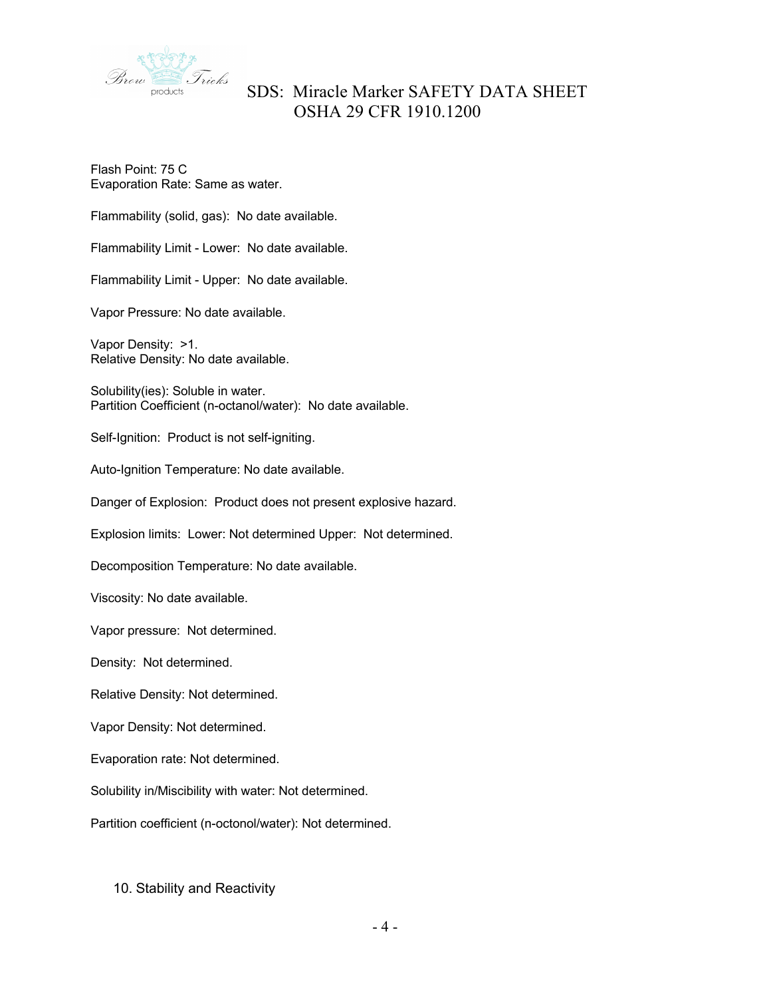

Flash Point: 75 C Evaporation Rate: Same as water.

Flammability (solid, gas): No date available.

Flammability Limit - Lower: No date available.

Flammability Limit - Upper: No date available.

Vapor Pressure: No date available.

Vapor Density: >1. Relative Density: No date available.

Solubility(ies): Soluble in water. Partition Coefficient (n-octanol/water): No date available.

Self-Ignition: Product is not self-igniting.

Auto-Ignition Temperature: No date available.

Danger of Explosion: Product does not present explosive hazard.

Explosion limits: Lower: Not determined Upper: Not determined.

Decomposition Temperature: No date available.

Viscosity: No date available.

Vapor pressure: Not determined.

Density: Not determined.

Relative Density: Not determined.

Vapor Density: Not determined.

Evaporation rate: Not determined.

Solubility in/Miscibility with water: Not determined.

Partition coefficient (n-octonol/water): Not determined.

10. Stability and Reactivity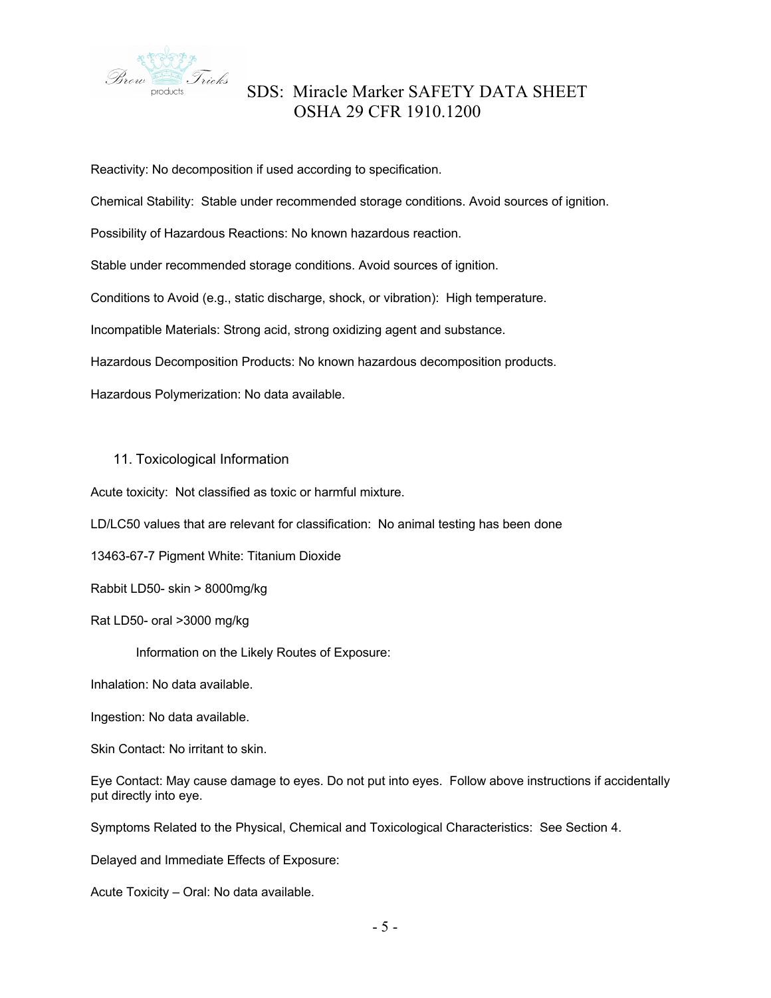

Reactivity: No decomposition if used according to specification. Chemical Stability: Stable under recommended storage conditions. Avoid sources of ignition. Possibility of Hazardous Reactions: No known hazardous reaction. Stable under recommended storage conditions. Avoid sources of ignition. Conditions to Avoid (e.g., static discharge, shock, or vibration): High temperature. Incompatible Materials: Strong acid, strong oxidizing agent and substance. Hazardous Decomposition Products: No known hazardous decomposition products. Hazardous Polymerization: No data available.

### 11. Toxicological Information

Acute toxicity: Not classified as toxic or harmful mixture.

LD/LC50 values that are relevant for classification: No animal testing has been done

13463-67-7 Pigment White: Titanium Dioxide

Rabbit LD50- skin > 8000mg/kg

Rat LD50- oral >3000 mg/kg

Information on the Likely Routes of Exposure:

Inhalation: No data available.

Ingestion: No data available.

Skin Contact: No irritant to skin.

Eye Contact: May cause damage to eyes. Do not put into eyes. Follow above instructions if accidentally put directly into eye.

Symptoms Related to the Physical, Chemical and Toxicological Characteristics: See Section 4.

Delayed and Immediate Effects of Exposure:

Acute Toxicity – Oral: No data available.

- 5 -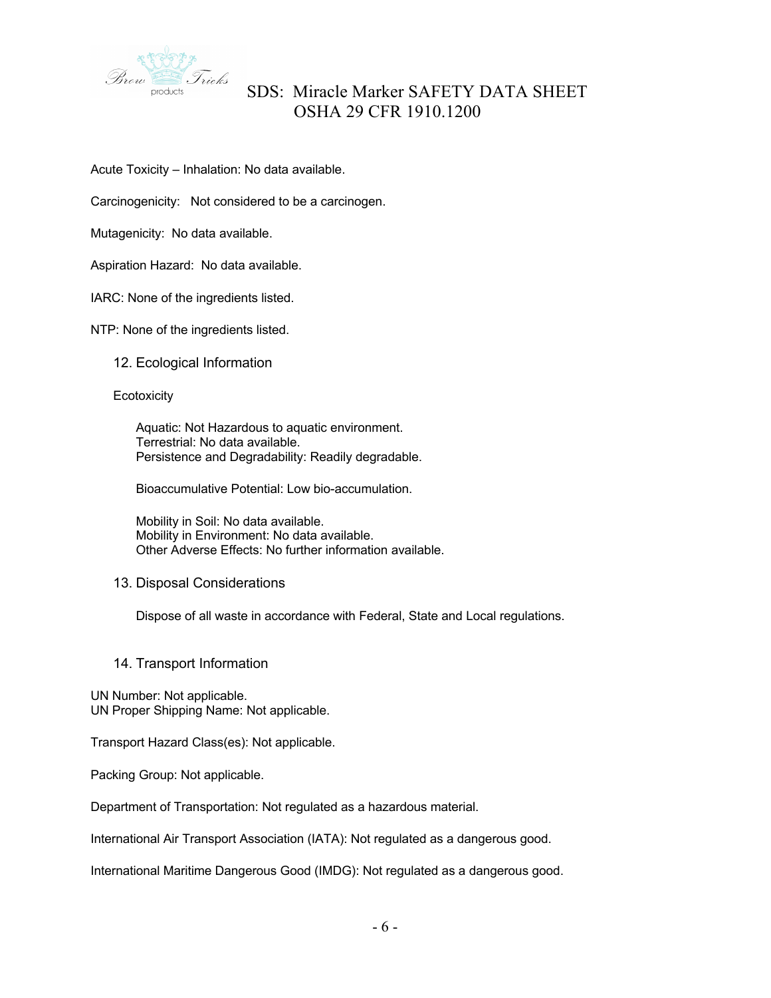

Acute Toxicity – Inhalation: No data available.

Carcinogenicity: Not considered to be a carcinogen.

Mutagenicity: No data available.

Aspiration Hazard: No data available.

IARC: None of the ingredients listed.

NTP: None of the ingredients listed.

12. Ecological Information

#### **Ecotoxicity**

Aquatic: Not Hazardous to aquatic environment. Terrestrial: No data available. Persistence and Degradability: Readily degradable.

Bioaccumulative Potential: Low bio-accumulation.

Mobility in Soil: No data available. Mobility in Environment: No data available. Other Adverse Effects: No further information available.

#### 13. Disposal Considerations

Dispose of all waste in accordance with Federal, State and Local regulations.

14. Transport Information

UN Number: Not applicable. UN Proper Shipping Name: Not applicable.

Transport Hazard Class(es): Not applicable.

Packing Group: Not applicable.

Department of Transportation: Not regulated as a hazardous material.

International Air Transport Association (IATA): Not regulated as a dangerous good.

International Maritime Dangerous Good (IMDG): Not regulated as a dangerous good.